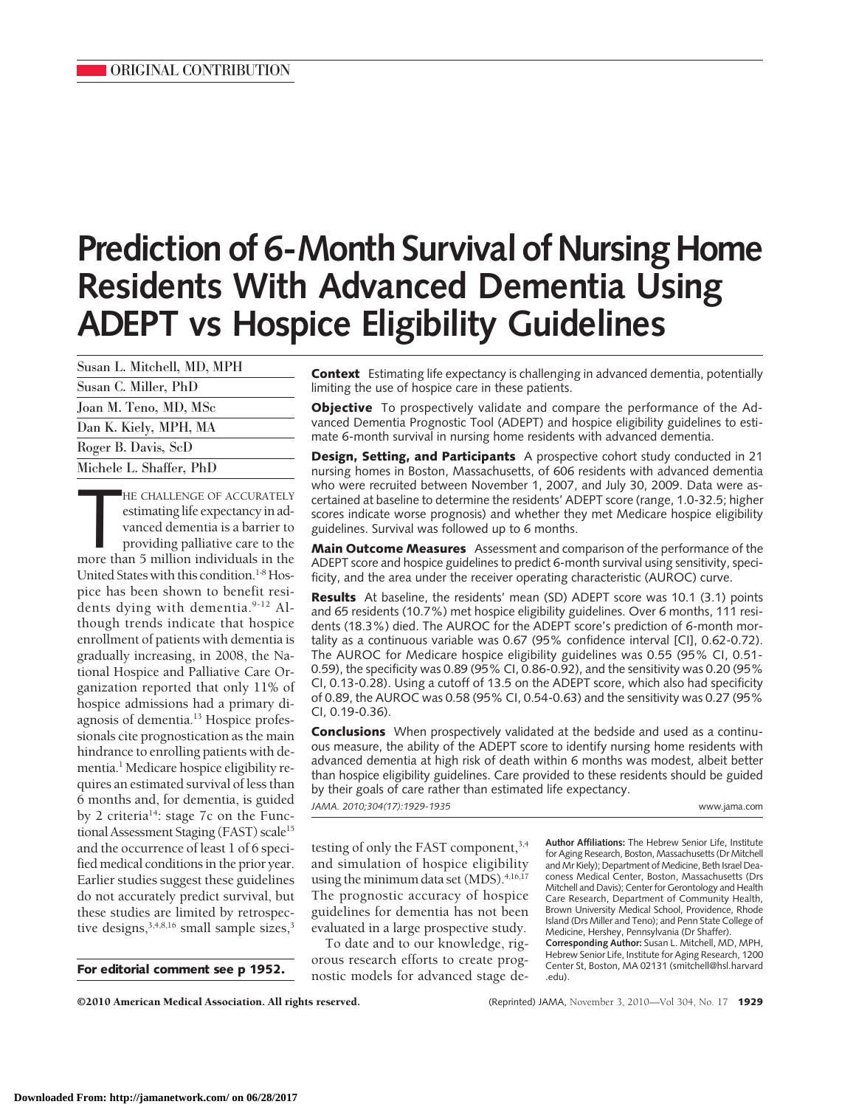# **Prediction of 6-Month Survival of Nursing Home Residents With Advanced Dementia Using ADEPT vs Hospice Eligibility Guidelines**

| Susan L. Mitchell, MD, MPH |
|----------------------------|
| Susan C. Miller, PhD       |
| Joan M. Teno, MD, MSc      |
| Dan K. Kiely, MPH, MA      |
| Roger B. Davis, ScD        |
| Michele L. Shaffer, PhD    |

HE CHALLENGE OF ACCURATELY<br>estimating life expectancy in advanced dementia is a barrier to<br>providing palliative care to the<br>more than 5 million individuals in the HE CHALLENGE OF ACCURATELY estimating life expectancy in advanced dementia is a barrier to providing palliative care to the United States with this condition.<sup>1-8</sup> Hospice has been shown to benefit residents dying with dementia.<sup>9-12</sup> Although trends indicate that hospice enrollment of patients with dementia is gradually increasing, in 2008, the National Hospice and Palliative Care Organization reported that only 11% of hospice admissions had a primary diagnosis of dementia.<sup>13</sup> Hospice professionals cite prognostication as the main hindrance to enrolling patients with dementia.<sup>1</sup> Medicare hospice eligibility requires an estimated survival of less than 6 months and, for dementia, is guided by 2 criteria<sup>14</sup>: stage 7c on the Functional Assessment Staging (FAST) scale<sup>15</sup> and the occurrence of least 1 of 6 specified medical conditions in the prior year. Earlier studies suggest these guidelines do not accurately predict survival, but these studies are limited by retrospective designs,<sup>3,4,8,16</sup> small sample sizes,<sup>3</sup>

**For editorial comment see p 1952.**

**Context** Estimating life expectancy is challenging in advanced dementia, potentially limiting the use of hospice care in these patients.

**Objective** To prospectively validate and compare the performance of the Advanced Dementia Prognostic Tool (ADEPT) and hospice eligibility guidelines to estimate 6-month survival in nursing home residents with advanced dementia.

**Design, Setting, and Participants** A prospective cohort study conducted in 21 nursing homes in Boston, Massachusetts, of 606 residents with advanced dementia who were recruited between November 1, 2007, and July 30, 2009. Data were ascertained at baseline to determine the residents' ADEPT score (range, 1.0-32.5; higher scores indicate worse prognosis) and whether they met Medicare hospice eligibility guidelines. Survival was followed up to 6 months.

**Main Outcome Measures** Assessment and comparison of the performance of the ADEPT score and hospice guidelines to predict 6-month survival using sensitivity, specificity, and the area under the receiver operating characteristic (AUROC) curve.

**Results** At baseline, the residents' mean (SD) ADEPT score was 10.1 (3.1) points and 65 residents (10.7%) met hospice eligibility guidelines. Over 6 months, 111 residents (18.3%) died. The AUROC for the ADEPT score's prediction of 6-month mortality as a continuous variable was 0.67 (95% confidence interval [CI], 0.62-0.72). The AUROC for Medicare hospice eligibility guidelines was 0.55 (95% CI, 0.51- 0.59), the specificity was 0.89 (95% CI, 0.86-0.92), and the sensitivity was 0.20 (95% CI, 0.13-0.28). Using a cutoff of 13.5 on the ADEPT score, which also had specificity of 0.89, the AUROC was 0.58 (95% CI, 0.54-0.63) and the sensitivity was 0.27 (95% CI, 0.19-0.36).

**Conclusions** When prospectively validated at the bedside and used as a continuous measure, the ability of the ADEPT score to identify nursing home residents with advanced dementia at high risk of death within 6 months was modest, albeit better than hospice eligibility guidelines. Care provided to these residents should be guided by their goals of care rather than estimated life expectancy.

*JAMA. 2010;304(17):1929-1935* www.jama.com

testing of only the FAST component,<sup>3,4</sup> and simulation of hospice eligibility using the minimum data set  $(MDS)$ .<sup>4,16,17</sup> The prognostic accuracy of hospice guidelines for dementia has not been evaluated in a large prospective study.

To date and to our knowledge, rigorous research efforts to create prognostic models for advanced stage de**Author Affiliations:** The Hebrew Senior Life, Institute for Aging Research, Boston, Massachusetts (Dr Mitchell and Mr Kiely); Department of Medicine, Beth Israel Deaconess Medical Center, Boston, Massachusetts (Drs Mitchell and Davis); Center for Gerontology and Health Care Research, Department of Community Health, Brown University Medical School, Providence, Rhode Island (Drs Miller and Teno); and Penn State College of Medicine, Hershey, Pennsylvania (Dr Shaffer). **Corresponding Author:** Susan L. Mitchell, MD, MPH,

Hebrew Senior Life, Institute for Aging Research, 1200 Center St, Boston, MA 02131 (smitchell@hsl.harvard .edu).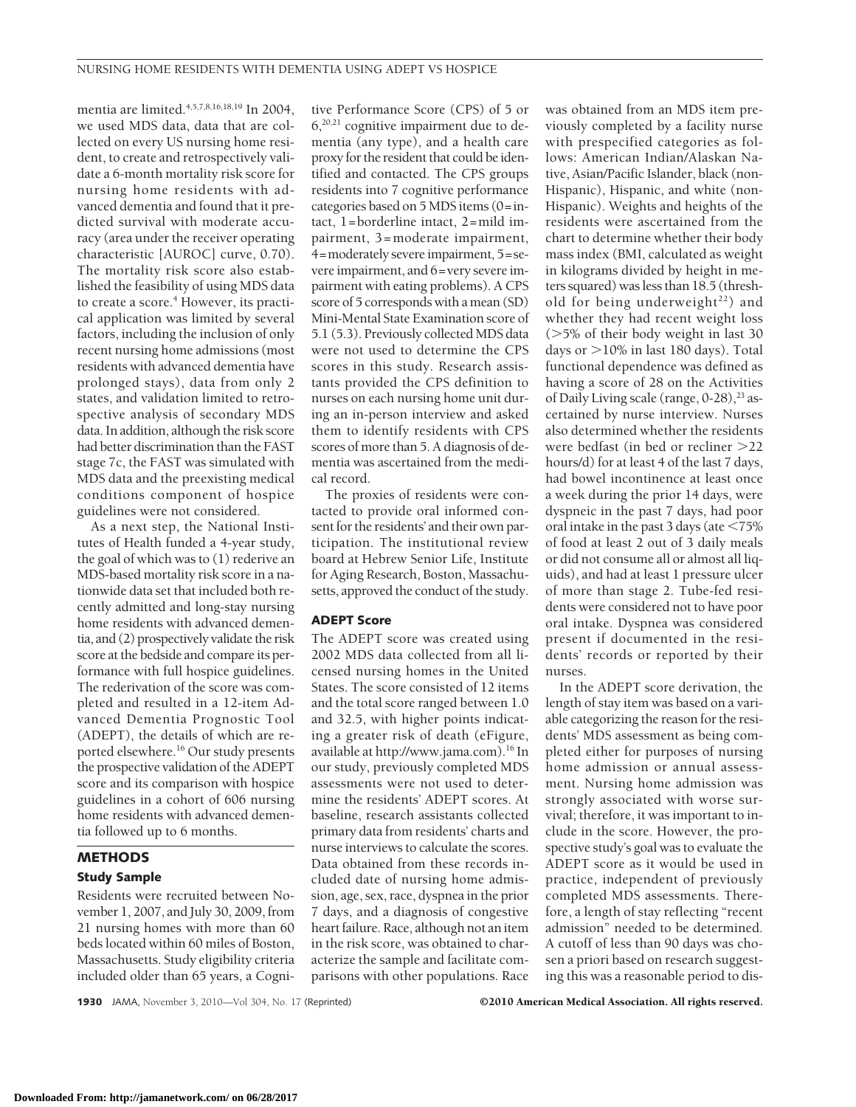mentia are limited.<sup>4,5,7,8,16,18,19</sup> In 2004, we used MDS data, data that are collected on every US nursing home resident, to create and retrospectively validate a 6-month mortality risk score for nursing home residents with advanced dementia and found that it predicted survival with moderate accuracy (area under the receiver operating characteristic [AUROC] curve, 0.70). The mortality risk score also established the feasibility of using MDS data to create a score.<sup>4</sup> However, its practical application was limited by several factors, including the inclusion of only recent nursing home admissions (most residents with advanced dementia have prolonged stays), data from only 2 states, and validation limited to retrospective analysis of secondary MDS data. In addition, although the risk score had better discrimination than the FAST stage 7c, the FAST was simulated with MDS data and the preexisting medical conditions component of hospice guidelines were not considered.

As a next step, the National Institutes of Health funded a 4-year study, the goal of which was to (1) rederive an MDS-based mortality risk score in a nationwide data set that included both recently admitted and long-stay nursing home residents with advanced dementia, and (2) prospectively validate the risk score at the bedside and compare its performance with full hospice guidelines. The rederivation of the score was completed and resulted in a 12-item Advanced Dementia Prognostic Tool (ADEPT), the details of which are reported elsewhere.16 Our study presents the prospective validation of the ADEPT score and its comparison with hospice guidelines in a cohort of 606 nursing home residents with advanced dementia followed up to 6 months.

# **METHODS Study Sample**

Residents were recruited between November 1, 2007, and July 30, 2009, from 21 nursing homes with more than 60 beds located within 60 miles of Boston, Massachusetts. Study eligibility criteria included older than 65 years, a Cognitive Performance Score (CPS) of 5 or  $6,20,21$  cognitive impairment due to dementia (any type), and a health care proxyfor the resident that could be identified and contacted. The CPS groups residents into 7 cognitive performance categories based on 5 MDS items (0=intact, 1=borderline intact, 2=mild impairment, 3=moderate impairment, 4=moderately severe impairment, 5=severe impairment, and 6=very severe impairment with eating problems). A CPS score of 5 corresponds with a mean (SD) Mini-Mental State Examination score of 5.1 (5.3). Previously collected MDS data were not used to determine the CPS scores in this study. Research assistants provided the CPS definition to nurses on each nursing home unit during an in-person interview and asked them to identify residents with CPS scores of more than 5. A diagnosis of dementia was ascertained from the medical record.

The proxies of residents were contacted to provide oral informed consent for the residents' and their own participation. The institutional review board at Hebrew Senior Life, Institute for Aging Research, Boston, Massachusetts, approved the conduct of the study.

## **ADEPT Score**

The ADEPT score was created using 2002 MDS data collected from all licensed nursing homes in the United States. The score consisted of 12 items and the total score ranged between 1.0 and 32.5, with higher points indicating a greater risk of death (eFigure, available at http://www.jama.com).16 In our study, previously completed MDS assessments were not used to determine the residents' ADEPT scores. At baseline, research assistants collected primary data from residents' charts and nurse interviews to calculate the scores. Data obtained from these records included date of nursing home admission, age, sex, race, dyspnea in the prior 7 days, and a diagnosis of congestive heart failure. Race, although not an item in the risk score, was obtained to characterize the sample and facilitate comparisons with other populations. Race

was obtained from an MDS item previously completed by a facility nurse with prespecified categories as follows: American Indian/Alaskan Native, Asian/Pacific Islander, black (non-Hispanic), Hispanic, and white (non-Hispanic). Weights and heights of the residents were ascertained from the chart to determine whether their body mass index (BMI, calculated as weight in kilograms divided by height in meters squared) was less than 18.5 (threshold for being underweight $^{22}$ ) and whether they had recent weight loss (>5% of their body weight in last 30 days or >10% in last 180 days). Total functional dependence was defined as having a score of 28 on the Activities of Daily Living scale (range,  $0-28$ ),  $^{23}$  ascertained by nurse interview. Nurses also determined whether the residents were bedfast (in bed or recliner >22 hours/d) for at least 4 of the last 7 days, had bowel incontinence at least once a week during the prior 14 days, were dyspneic in the past 7 days, had poor oral intake in the past 3 days (ate  $\leq 75\%$ of food at least 2 out of 3 daily meals or did not consume all or almost all liquids), and had at least 1 pressure ulcer of more than stage 2. Tube-fed residents were considered not to have poor oral intake. Dyspnea was considered present if documented in the residents' records or reported by their nurses.

In the ADEPT score derivation, the length of stay item was based on a variable categorizing the reason for the residents' MDS assessment as being completed either for purposes of nursing home admission or annual assessment. Nursing home admission was strongly associated with worse survival; therefore, it was important to include in the score. However, the prospective study's goal was to evaluate the ADEPT score as it would be used in practice, independent of previously completed MDS assessments. Therefore, a length of stay reflecting "recent admission" needed to be determined. A cutoff of less than 90 days was chosen a priori based on research suggesting this was a reasonable period to dis-

**1930** JAMA, November 3, 2010—Vol 304, No. 17 (Reprinted) ©2010 American Medical Association. All rights reserved.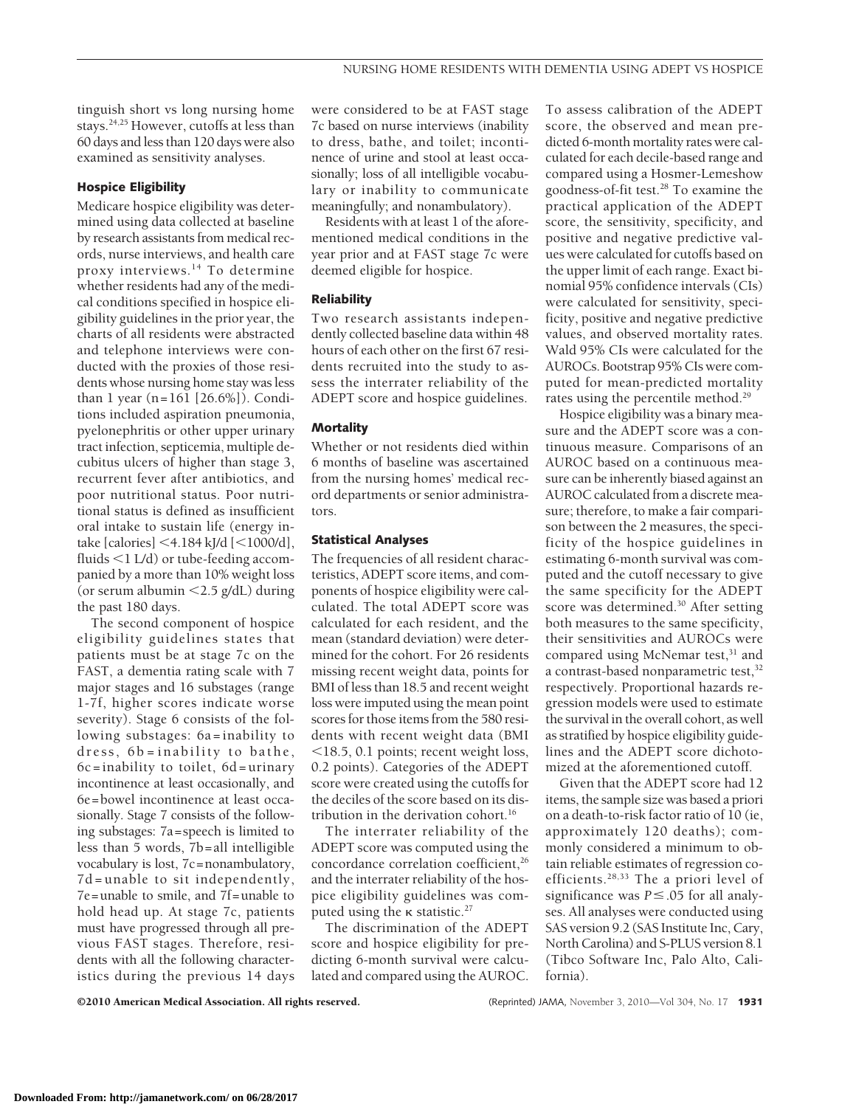tinguish short vs long nursing home stays.24,25 However, cutoffs at less than 60 days and less than 120 days were also examined as sensitivity analyses.

### **Hospice Eligibility**

Medicare hospice eligibility was determined using data collected at baseline by research assistants from medical records, nurse interviews, and health care proxy interviews.14 To determine whether residents had any of the medical conditions specified in hospice eligibility guidelines in the prior year, the charts of all residents were abstracted and telephone interviews were conducted with the proxies of those residents whose nursing home stay was less than 1 year (n=161 [26.6%]). Conditions included aspiration pneumonia, pyelonephritis or other upper urinary tract infection, septicemia, multiple decubitus ulcers of higher than stage 3, recurrent fever after antibiotics, and poor nutritional status. Poor nutritional status is defined as insufficient oral intake to sustain life (energy intake [calories]  $\leq$  4.184 kJ/d [ $\leq$ 1000/d], fluids  $\leq 1$  L/d) or tube-feeding accompanied by a more than 10% weight loss (or serum albumin  $\langle 2.5 \text{ g/dL} \rangle$  during the past 180 days.

The second component of hospice eligibility guidelines states that patients must be at stage 7c on the FAST, a dementia rating scale with 7 major stages and 16 substages (range 1-7f, higher scores indicate worse severity). Stage 6 consists of the following substages: 6a=inability to dress, 6b=inability to bathe, 6c=inability to toilet, 6d=urinary incontinence at least occasionally, and 6e=bowel incontinence at least occasionally. Stage 7 consists of the following substages: 7a=speech is limited to less than 5 words, 7b=all intelligible vocabulary is lost, 7c=nonambulatory, 7d=unable to sit independently, 7e=unable to smile, and 7f=unable to hold head up. At stage 7c, patients must have progressed through all previous FAST stages. Therefore, residents with all the following characteristics during the previous 14 days

were considered to be at FAST stage 7c based on nurse interviews (inability to dress, bathe, and toilet; incontinence of urine and stool at least occasionally; loss of all intelligible vocabulary or inability to communicate meaningfully; and nonambulatory).

Residents with at least 1 of the aforementioned medical conditions in the year prior and at FAST stage 7c were deemed eligible for hospice.

## **Reliability**

Two research assistants independently collected baseline data within 48 hours of each other on the first 67 residents recruited into the study to assess the interrater reliability of the ADEPT score and hospice guidelines.

## **Mortality**

Whether or not residents died within 6 months of baseline was ascertained from the nursing homes' medical record departments or senior administrators.

## **Statistical Analyses**

The frequencies of all resident characteristics, ADEPT score items, and components of hospice eligibility were calculated. The total ADEPT score was calculated for each resident, and the mean (standard deviation) were determined for the cohort. For 26 residents missing recent weight data, points for BMI of less than 18.5 and recent weight loss were imputed using the mean point scores for those items from the 580 residents with recent weight data (BMI 18.5, 0.1 points; recent weight loss, 0.2 points). Categories of the ADEPT score were created using the cutoffs for the deciles of the score based on its distribution in the derivation cohort.<sup>16</sup>

The interrater reliability of the ADEPT score was computed using the concordance correlation coefficient,<sup>26</sup> and the interrater reliability of the hospice eligibility guidelines was computed using the  $\kappa$  statistic.<sup>27</sup>

The discrimination of the ADEPT score and hospice eligibility for predicting 6-month survival were calculated and compared using the AUROC.

To assess calibration of the ADEPT score, the observed and mean predicted 6-month mortality rates were calculated for each decile-based range and compared using a Hosmer-Lemeshow goodness-of-fit test.28 To examine the practical application of the ADEPT score, the sensitivity, specificity, and positive and negative predictive values were calculated for cutoffs based on the upper limit of each range. Exact binomial 95% confidence intervals (CIs) were calculated for sensitivity, specificity, positive and negative predictive values, and observed mortality rates. Wald 95% CIs were calculated for the AUROCs. Bootstrap 95% CIs were computed for mean-predicted mortality rates using the percentile method.<sup>29</sup>

Hospice eligibility was a binary measure and the ADEPT score was a continuous measure. Comparisons of an AUROC based on a continuous measure can be inherently biased against an AUROC calculated from a discrete measure; therefore, to make a fair comparison between the 2 measures, the specificity of the hospice guidelines in estimating 6-month survival was computed and the cutoff necessary to give the same specificity for the ADEPT score was determined.30 After setting both measures to the same specificity, their sensitivities and AUROCs were compared using McNemar test,<sup>31</sup> and a contrast-based nonparametric test,<sup>32</sup> respectively. Proportional hazards regression models were used to estimate the survival in the overall cohort, as well as stratified by hospice eligibility guidelines and the ADEPT score dichotomized at the aforementioned cutoff.

Given that the ADEPT score had 12 items, the sample size was based a priori on a death-to-risk factor ratio of 10 (ie, approximately 120 deaths); commonly considered a minimum to obtain reliable estimates of regression coefficients.28,33 The a priori level of significance was  $P \leq 0.05$  for all analyses. All analyses were conducted using SAS version 9.2 (SAS Institute Inc, Cary, North Carolina) and S-PLUS version 8.1 (Tibco Software Inc, Palo Alto, California).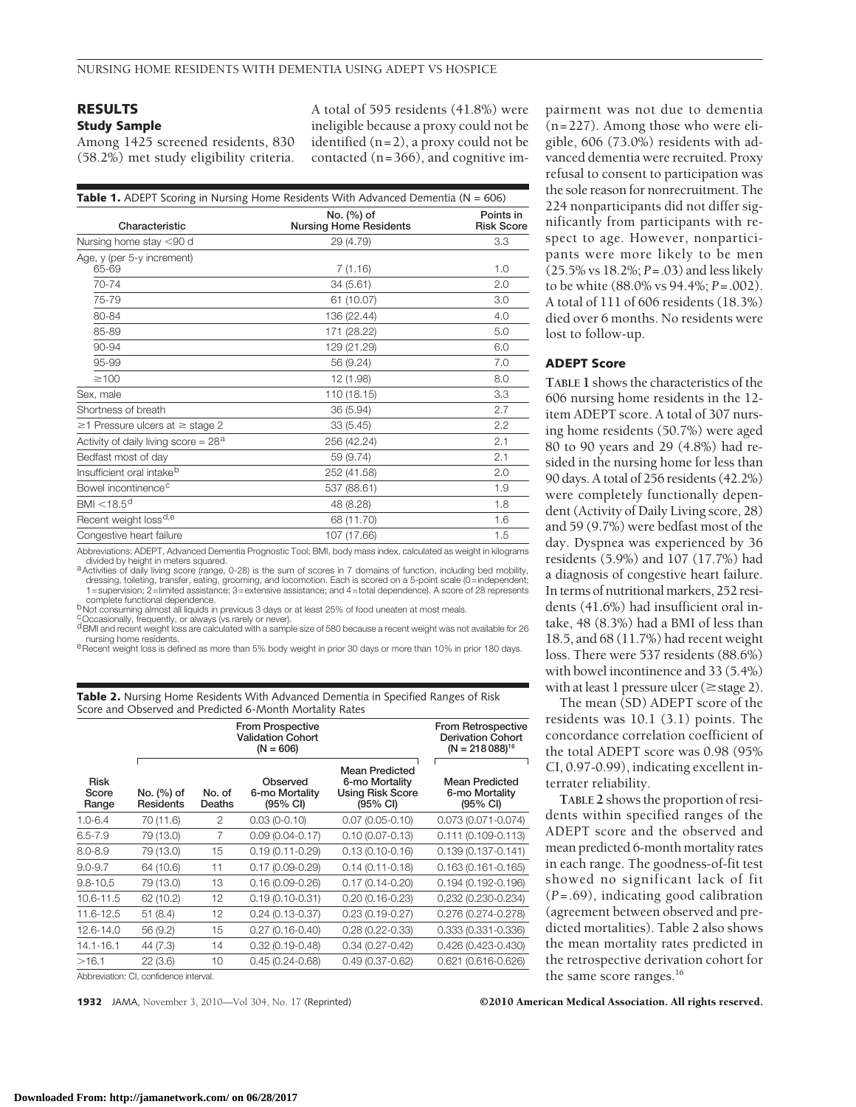## **RESULTS**

## **Study Sample**

Among 1425 screened residents, 830 (58.2%) met study eligibility criteria.

A total of 595 residents (41.8%) were ineligible because a proxy could not be identified (n=2), a proxy could not be contacted (n=366), and cognitive im-

| <b>Table 1.</b> ADEPT Scoring in Nursing Home Residents With Advanced Dementia ( $N = 606$ ) |                                             |                                |  |  |
|----------------------------------------------------------------------------------------------|---------------------------------------------|--------------------------------|--|--|
| Characteristic                                                                               | No. (%) of<br><b>Nursing Home Residents</b> | Points in<br><b>Risk Score</b> |  |  |
| Nursing home stay <90 d                                                                      | 29 (4.79)                                   | 3.3                            |  |  |
| Age, y (per 5-y increment)<br>65-69                                                          | 7(1.16)                                     | 1.0                            |  |  |
| 70-74                                                                                        | 34(5.61)                                    | 2.0                            |  |  |
| 75-79                                                                                        | 61 (10.07)                                  | 3.0                            |  |  |
| 80-84                                                                                        | 136 (22.44)                                 | 4.0                            |  |  |
| 85-89                                                                                        | 171 (28.22)                                 | 5.0                            |  |  |
| 90-94                                                                                        | 129 (21.29)                                 | 6.0                            |  |  |
| 95-99                                                                                        | 56 (9.24)                                   | 7.0                            |  |  |
| $\geq$ 100                                                                                   | 12 (1.98)                                   | 8.0                            |  |  |
| Sex, male                                                                                    | 110 (18.15)                                 | 3.3                            |  |  |
| Shortness of breath                                                                          | 36 (5.94)                                   | 2.7                            |  |  |
| $\geq$ 1 Pressure ulcers at $\geq$ stage 2                                                   | 33(5.45)                                    | 2.2                            |  |  |
| Activity of daily living score = $28a$                                                       | 256 (42.24)                                 | 2.1                            |  |  |
| Bedfast most of day                                                                          | 59 (9.74)                                   | 2.1                            |  |  |
| Insufficient oral intake <sup>b</sup>                                                        | 252 (41.58)                                 | 2.0                            |  |  |
| Bowel incontinence <sup>c</sup>                                                              | 537 (88.61)                                 | 1.9                            |  |  |
| BMI $<$ 18.5 <sup>d</sup>                                                                    | 48 (8.28)                                   | 1.8                            |  |  |
| Recent weight loss <sup>d,e</sup>                                                            | 68 (11.70)                                  | 1.6                            |  |  |
| Congestive heart failure                                                                     | 107 (17.66)                                 | 1.5                            |  |  |
|                                                                                              |                                             |                                |  |  |

Abbreviations: ADEPT, Advanced Dementia Prognostic Tool; BMI, body mass index, calculated as weight in kilograms

divided by height in meters squared.<br>A ctivities of daily living score (range, 0-28) is the sum of scores in 7 domains of function, including bed mobility, dressing, toileting, transfer, eating, grooming, and locomotion. Each is scored on a 5-point scale (0=independent;<br>1=supervision; 2=limited assistance; 3=extensive assistance; and 4=total dependence). A score of 28 represe complete functional dependence.<br><sup>b</sup>Not consuming almost all liquids in previous 3 days or at least 25% of food uneaten at most meals.

COccasionally, frequently, or always (vs rarely or never). dBMI and recent weight loss are calculated with a sample size of 580 because a recent weight was not available for 26<br>nursing home residents.

e nursing home residents. experience residents. eRecent weight weight in prior 30 days or more than 10% in prior 180 days.

**Table 2.** Nursing Home Residents With Advanced Dementia in Specified Ranges of Risk Score and Observed and Predicted 6-Month Mortality Rates

|                               | <b>From Prospective</b><br><b>Validation Cohort</b><br>$(N = 606)$ |                  |                                        |                                                                                          | From Retrospective<br><b>Derivation Cohort</b><br>$(N = 218088)^{16}$ |
|-------------------------------|--------------------------------------------------------------------|------------------|----------------------------------------|------------------------------------------------------------------------------------------|-----------------------------------------------------------------------|
| <b>Risk</b><br>Score<br>Range | No. (%) of<br>Residents                                            | No. of<br>Deaths | Observed<br>6-mo Mortality<br>(95% CI) | <b>Mean Predicted</b><br>6-mo Mortality<br><b>Using Risk Score</b><br>$(95% \text{ Cl})$ | <b>Mean Predicted</b><br>6-mo Mortality<br>(95% CI)                   |
| $1.0 - 6.4$                   | 70 (11.6)                                                          | 2                | $0.03(0-0.10)$                         | $0.07(0.05 - 0.10)$                                                                      | $0.073(0.071 - 0.074)$                                                |
| $6.5 - 7.9$                   | 79 (13.0)                                                          | 7                | $0.09(0.04 - 0.17)$                    | $0.10(0.07 - 0.13)$                                                                      | $0.111(0.109 - 0.113)$                                                |
| $8.0 - 8.9$                   | 79 (13.0)                                                          | 15               | $0.19(0.11 - 0.29)$                    | $0.13(0.10 - 0.16)$                                                                      | $0.139(0.137 - 0.141)$                                                |
| $9.0 - 9.7$                   | 64 (10.6)                                                          | 11               | $0.17(0.09 - 0.29)$                    | $0.14(0.11-0.18)$                                                                        | $0.163(0.161 - 0.165)$                                                |
| $9.8 - 10.5$                  | 79 (13.0)                                                          | 13               | $0.16(0.09 - 0.26)$                    | $0.17(0.14 - 0.20)$                                                                      | $0.194(0.192 - 0.196)$                                                |
| 10.6-11.5                     | 62 (10.2)                                                          | 12               | $0.19(0.10 - 0.31)$                    | $0.20(0.16 - 0.23)$                                                                      | $0.232(0.230 - 0.234)$                                                |
| 11.6-12.5                     | 51(8.4)                                                            | 12               | $0.24(0.13 - 0.37)$                    | $0.23(0.19 - 0.27)$                                                                      | 0.276 (0.274-0.278)                                                   |
| $12.6 - 14.0$                 | 56 (9.2)                                                           | 15               | $0.27(0.16 - 0.40)$                    | $0.28(0.22 - 0.33)$                                                                      | 0.333 (0.331-0.336)                                                   |
| 14.1-16.1                     | 44 (7.3)                                                           | 14               | $0.32(0.19 - 0.48)$                    | $0.34(0.27 - 0.42)$                                                                      | $0.426(0.423 - 0.430)$                                                |
| >16.1                         | 22(3.6)                                                            | 10               | $0.45(0.24 - 0.68)$                    | $0.49(0.37 - 0.62)$                                                                      | 0.621 (0.616-0.626)                                                   |

Abbreviation: CI, confidence interval.

pairment was not due to dementia (n=227). Among those who were eligible, 606 (73.0%) residents with advanced dementia were recruited. Proxy refusal to consent to participation was the sole reason for nonrecruitment. The 224 nonparticipants did not differ significantly from participants with respect to age. However, nonparticipants were more likely to be men (25.5% vs 18.2%; *P*=.03) and less likely to be white (88.0% vs 94.4%; *P*=.002). A total of 111 of 606 residents (18.3%) died over 6 months. No residents were lost to follow-up.

## **ADEPT Score**

**TABLE 1** shows the characteristics of the 606 nursing home residents in the 12 item ADEPT score. A total of 307 nursing home residents (50.7%) were aged 80 to 90 years and 29 (4.8%) had resided in the nursing home for less than 90 days. A total of 256 residents (42.2%) were completely functionally dependent (Activity of Daily Living score, 28) and 59 (9.7%) were bedfast most of the day. Dyspnea was experienced by 36 residents (5.9%) and 107 (17.7%) had a diagnosis of congestive heart failure. In terms of nutritional markers, 252 residents (41.6%) had insufficient oral intake, 48 (8.3%) had a BMI of less than 18.5, and 68 (11.7%) had recent weight loss. There were 537 residents (88.6%) with bowel incontinence and 33 (5.4%) with at least 1 pressure ulcer ( $\geq$ stage 2).

The mean (SD) ADEPT score of the residents was 10.1 (3.1) points. The concordance correlation coefficient of the total ADEPT score was 0.98 (95% CI, 0.97-0.99), indicating excellent interrater reliability.

**TABLE 2** shows the proportion of residents within specified ranges of the ADEPT score and the observed and mean predicted 6-month mortality rates in each range. The goodness-of-fit test showed no significant lack of fit (*P*=.69), indicating good calibration (agreement between observed and predicted mortalities). Table 2 also shows the mean mortality rates predicted in the retrospective derivation cohort for the same score ranges.<sup>16</sup>

**1932** JAMA, November 3, 2010—Vol 304, No. 17 (Reprinted) ©2010 American Medical Association. All rights reserved.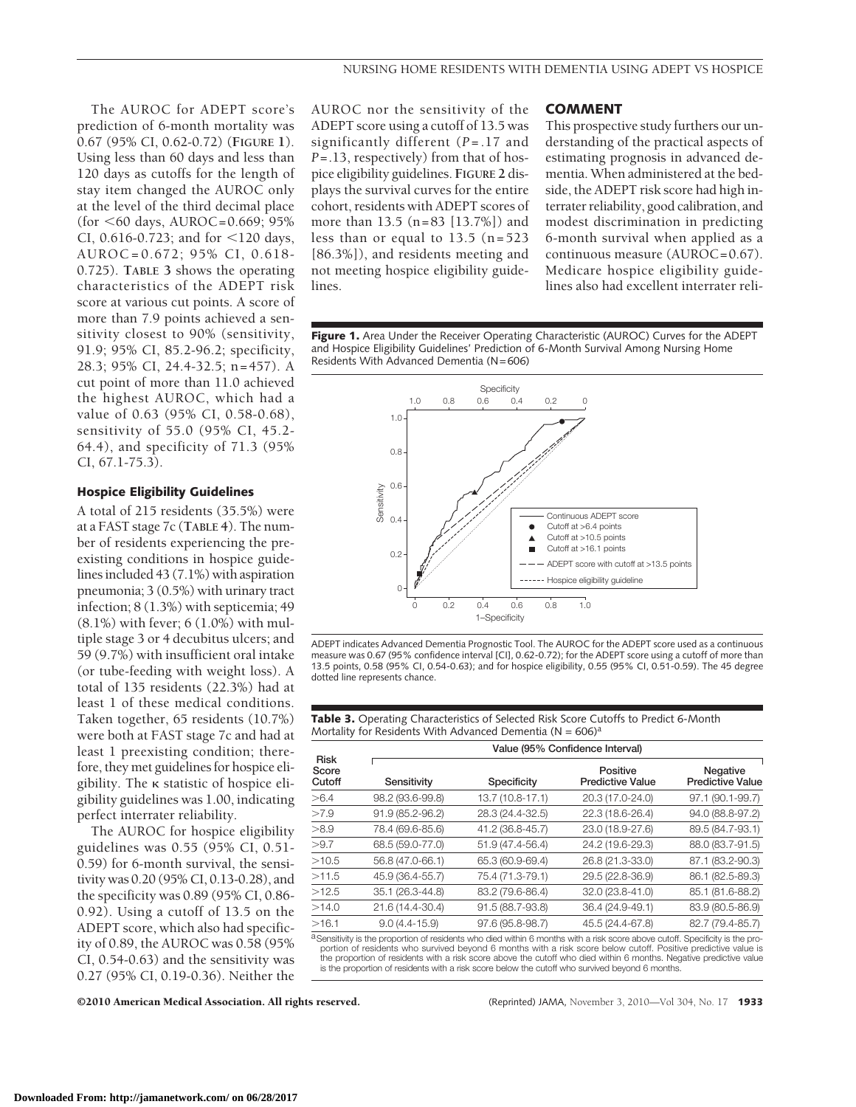The AUROC for ADEPT score's prediction of 6-month mortality was 0.67 (95% CI, 0.62-0.72) (**FIGURE 1**). Using less than 60 days and less than 120 days as cutoffs for the length of stay item changed the AUROC only at the level of the third decimal place (for  $<60$  days, AUROC=0.669; 95%) CI, 0.616-0.723; and for  $\leq$ 120 days, AUROC=0.672; 95% CI, 0.618- 0.725). **TABLE 3** shows the operating characteristics of the ADEPT risk score at various cut points. A score of more than 7.9 points achieved a sensitivity closest to 90% (sensitivity, 91.9; 95% CI, 85.2-96.2; specificity, 28.3; 95% CI, 24.4-32.5; n=457). A cut point of more than 11.0 achieved the highest AUROC, which had a value of 0.63 (95% CI, 0.58-0.68), sensitivity of 55.0 (95% CI, 45.2- 64.4), and specificity of 71.3 (95% CI, 67.1-75.3).

## **Hospice Eligibility Guidelines**

A total of 215 residents (35.5%) were at a FAST stage 7c (**TABLE 4**). The number of residents experiencing the preexisting conditions in hospice guidelines included 43 (7.1%) with aspiration pneumonia; 3 (0.5%) with urinary tract infection; 8 (1.3%) with septicemia; 49 (8.1%) with fever; 6 (1.0%) with multiple stage 3 or 4 decubitus ulcers; and 59 (9.7%) with insufficient oral intake (or tube-feeding with weight loss). A total of 135 residents (22.3%) had at least 1 of these medical conditions. Taken together, 65 residents (10.7%) were both at FAST stage 7c and had at least 1 preexisting condition; therefore, they met guidelines for hospice eligibility. The  $\kappa$  statistic of hospice eligibility guidelines was 1.00, indicating perfect interrater reliability.

The AUROC for hospice eligibility guidelines was 0.55 (95% CI, 0.51- 0.59) for 6-month survival, the sensitivity was 0.20 (95% CI, 0.13-0.28), and the specificity was 0.89 (95% CI, 0.86- 0.92). Using a cutoff of 13.5 on the ADEPT score, which also had specificity of 0.89, the AUROC was 0.58 (95% CI, 0.54-0.63) and the sensitivity was 0.27 (95% CI, 0.19-0.36). Neither the AUROC nor the sensitivity of the ADEPT score using a cutoff of 13.5 was significantly different (*P* = .17 and *P*=.13, respectively) from that of hospice eligibility guidelines. **FIGURE 2** displays the survival curves for the entire cohort, residents with ADEPT scores of more than 13.5 (n=83 [13.7%]) and less than or equal to 13.5 (n=523 [86.3%]), and residents meeting and not meeting hospice eligibility guidelines.

#### **COMMENT**

This prospective study furthers our understanding of the practical aspects of estimating prognosis in advanced dementia. When administered at the bedside, the ADEPT risk score had high interrater reliability, good calibration, and modest discrimination in predicting 6-month survival when applied as a continuous measure (AUROC=0.67). Medicare hospice eligibility guidelines also had excellent interrater reli-

**Figure 1.** Area Under the Receiver Operating Characteristic (AUROC) Curves for the ADEPT and Hospice Eligibility Guidelines' Prediction of 6-Month Survival Among Nursing Home Residents With Advanced Dementia ( $N=606$ )



ADEPT indicates Advanced Dementia Prognostic Tool. The AUROC for the ADEPT score used as a continuous measure was 0.67 (95% confidence interval [CI], 0.62-0.72); for the ADEPT score using a cutoff of more than 13.5 points, 0.58 (95% CI, 0.54-0.63); and for hospice eligibility, 0.55 (95% CI, 0.51-0.59). The 45 degree dotted line represents chance.

| <b>Table 3.</b> Operating Characteristics of Selected Risk Score Cutoffs to Predict 6-Month |
|---------------------------------------------------------------------------------------------|
| Mortality for Residents With Advanced Dementia ( $N = 606$ ) <sup>a</sup>                   |

|                                | Value (95% Confidence Interval) |                  |                                     |                                     |
|--------------------------------|---------------------------------|------------------|-------------------------------------|-------------------------------------|
| <b>Risk</b><br>Score<br>Cutoff | Sensitivity                     | Specificity      | Positive<br><b>Predictive Value</b> | Negative<br><b>Predictive Value</b> |
| > 6.4                          | 98.2 (93.6-99.8)                | 13.7 (10.8-17.1) | 20.3 (17.0-24.0)                    | 97.1 (90.1-99.7)                    |
| >7.9                           | 91.9 (85.2-96.2)                | 28.3 (24.4-32.5) | 22.3 (18.6-26.4)                    | 94.0 (88.8-97.2)                    |
| >8.9                           | 78.4 (69.6-85.6)                | 41.2 (36.8-45.7) | 23.0 (18.9-27.6)                    | 89.5 (84.7-93.1)                    |
| >9.7                           | 68.5 (59.0-77.0)                | 51.9 (47.4-56.4) | 24.2 (19.6-29.3)                    | 88.0 (83.7-91.5)                    |
| >10.5                          | 56.8 (47.0-66.1)                | 65.3 (60.9-69.4) | 26.8 (21.3-33.0)                    | 87.1 (83.2-90.3)                    |
| >11.5                          | 45.9 (36.4-55.7)                | 75.4 (71.3-79.1) | 29.5 (22.8-36.9)                    | 86.1 (82.5-89.3)                    |
| >12.5                          | 35.1 (26.3-44.8)                | 83.2 (79.6-86.4) | 32.0 (23.8-41.0)                    | 85.1 (81.6-88.2)                    |
| >14.0                          | 21.6 (14.4-30.4)                | 91.5 (88.7-93.8) | 36.4 (24.9-49.1)                    | 83.9 (80.5-86.9)                    |
| >16.1                          | $9.0(4.4 - 15.9)$               | 97.6 (95.8-98.7) | 45.5 (24.4-67.8)                    | 82.7 (79.4-85.7)                    |
| $2^{\sim}$ $\cdots$            | .                               |                  |                                     |                                     |

Sensitivity is the proportion of residents who died within 6 months with a risk score above cutoff. Specificity is the proportion of residents who survived beyond 6 months with a risk score below cutoff. Positive predictive value is the proportion of residents with a risk score above the cutoff who died within 6 months. Negative predictive value is the proportion of residents with a risk score below the cutoff who survived beyond 6 months.

©2010 American Medical Association. All rights reserved. (Reprinted) JAMA, November 3, 2010—Vol 304, No. 17 **1933**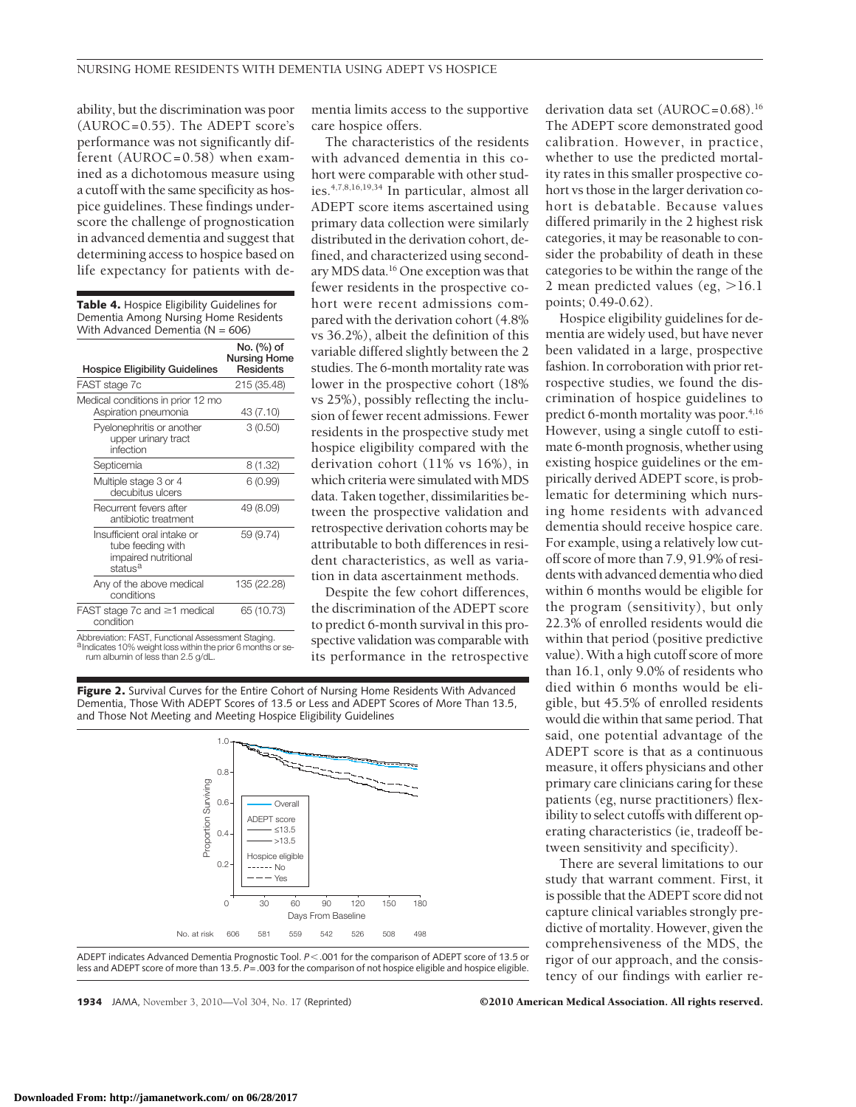mentia limits access to the supportive

The characteristics of the residents with advanced dementia in this cohort were comparable with other studies.4,7,8,16,19,34 In particular, almost all ADEPT score items ascertained using primary data collection were similarly distributed in the derivation cohort, defined, and characterized using secondary MDS data.16 One exception was that fewer residents in the prospective cohort were recent admissions compared with the derivation cohort (4.8% vs 36.2%), albeit the definition of this variable differed slightly between the 2 studies. The 6-month mortality rate was lower in the prospective cohort (18% vs 25%), possibly reflecting the inclusion of fewer recent admissions. Fewer residents in the prospective study met hospice eligibility compared with the derivation cohort (11% vs 16%), in which criteria were simulated with MDS data. Taken together, dissimilarities between the prospective validation and retrospective derivation cohorts may be attributable to both differences in resident characteristics, as well as variation in data ascertainment methods. Despite the few cohort differences, the discrimination of the ADEPT score to predict 6-month survival in this prospective validation was comparable with its performance in the retrospective

care hospice offers.

ability, but the discrimination was poor (AUROC=0.55). The ADEPT score's performance was not significantly different (AUROC=0.58) when examined as a dichotomous measure using a cutoff with the same specificity as hospice guidelines. These findings underscore the challenge of prognostication in advanced dementia and suggest that determining access to hospice based on life expectancy for patients with de-

| <b>Table 4.</b> Hospice Eligibility Guidelines for<br>Dementia Among Nursing Home Residents<br>With Advanced Dementia ( $N = 606$ ) |                                                       |  |  |  |
|-------------------------------------------------------------------------------------------------------------------------------------|-------------------------------------------------------|--|--|--|
| <b>Hospice Eligibility Guidelines</b>                                                                                               | No. (%) of<br><b>Nursing Home</b><br><b>Residents</b> |  |  |  |
| FAST stage 7c                                                                                                                       | 215 (35.48)                                           |  |  |  |
| Medical conditions in prior 12 mo<br>Aspiration pneumonia                                                                           | 43 (7.10)                                             |  |  |  |
| Pyelonephritis or another<br>upper urinary tract<br>infection                                                                       | 3(0.50)                                               |  |  |  |
| Septicemia                                                                                                                          | 8 (1.32)                                              |  |  |  |
| Multiple stage 3 or 4<br>decubitus ulcers                                                                                           | 6(0.99)                                               |  |  |  |
| Recurrent fevers after<br>antibiotic treatment                                                                                      | 49 (8.09)                                             |  |  |  |
| Insufficient oral intake or<br>tube feeding with<br>impaired nutritional<br>status <sup>a</sup>                                     | 59 (9.74)                                             |  |  |  |
| Any of the above medical<br>conditions                                                                                              | 135 (22.28)                                           |  |  |  |
| FAST stage 7c and $\geq$ 1 medical<br>condition                                                                                     | 65 (10.73)                                            |  |  |  |

Abbreviation: FAST, Functional Assessment Staging. andicates 10% weight loss within the prior 6 months or se-<br>rum albumin of less than 2.5  $g/dL$ .

**Figure 2.** Survival Curves for the Entire Cohort of Nursing Home Residents With Advanced Dementia, Those With ADEPT Scores of 13.5 or Less and ADEPT Scores of More Than 13.5, and Those Not Meeting and Meeting Hospice Eligibility Guidelines



ADEPT indicates Advanced Dementia Prognostic Tool.  $P < 0.001$  for the comparison of ADEPT score of 13.5 or less and ADEPT score of more than 13.5.  $\tilde{P}$ =.003 for the comparison of not hospice eligible and hospice eligible.

derivation data set (AUROC=0.68).<sup>16</sup> The ADEPT score demonstrated good calibration. However, in practice, whether to use the predicted mortality rates in this smaller prospective cohort vs those in the larger derivation cohort is debatable. Because values differed primarily in the 2 highest risk categories, it may be reasonable to consider the probability of death in these categories to be within the range of the 2 mean predicted values (eg,  $>16.1$ points; 0.49-0.62).

Hospice eligibility guidelines for dementia are widely used, but have never been validated in a large, prospective fashion. In corroboration with prior retrospective studies, we found the discrimination of hospice guidelines to predict 6-month mortality was poor.<sup>4,16</sup> However, using a single cutoff to estimate 6-month prognosis, whether using existing hospice guidelines or the empirically derived ADEPT score, is problematic for determining which nursing home residents with advanced dementia should receive hospice care. For example, using a relatively low cutoff score of more than 7.9, 91.9% of residents with advanced dementia who died within 6 months would be eligible for the program (sensitivity), but only 22.3% of enrolled residents would die within that period (positive predictive value). With a high cutoff score of more than 16.1, only 9.0% of residents who died within 6 months would be eligible, but 45.5% of enrolled residents would die within that same period. That said, one potential advantage of the ADEPT score is that as a continuous measure, it offers physicians and other primary care clinicians caring for these patients (eg, nurse practitioners) flexibility to select cutoffs with different operating characteristics (ie, tradeoff between sensitivity and specificity).

There are several limitations to our study that warrant comment. First, it is possible that the ADEPT score did not capture clinical variables strongly predictive of mortality. However, given the comprehensiveness of the MDS, the rigor of our approach, and the consistency of our findings with earlier re-

**1934** JAMA, November 3, 2010—Vol 304, No. 17 (Reprinted) ©2010 American Medical Association. All rights reserved.